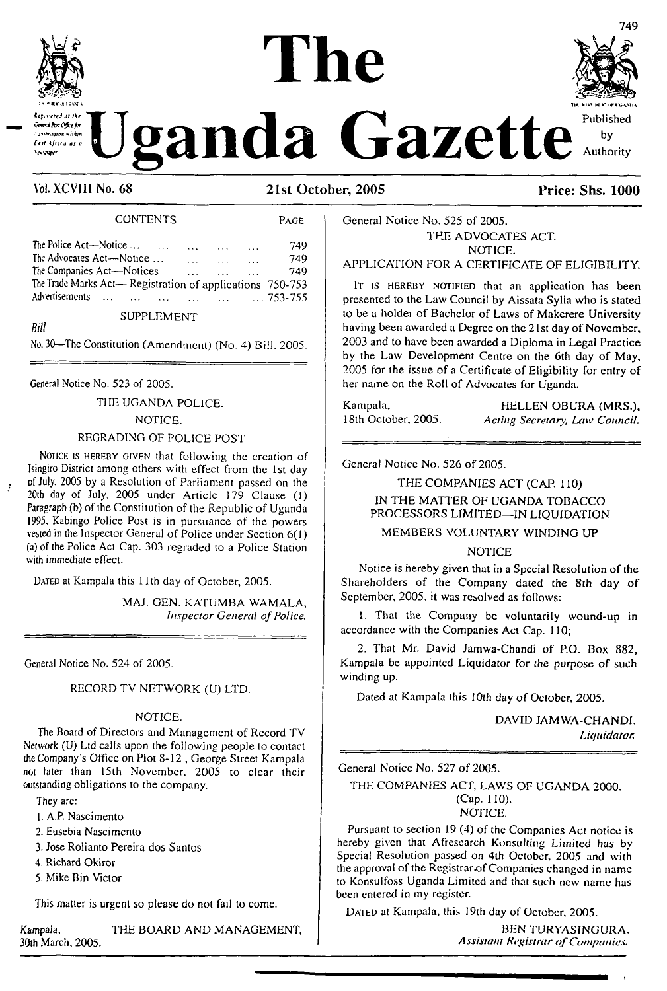

**<\*«\*\*□'Aw** *Ofi.tfir »irhm*

*Bill*

# *anda* Gazette<sup> Published</sup>

**The**

#### **VoLXCVIII No. 68 21st October, 2005 Price: Shs. 1000**

#### CONTENTS Page

| The Police Act—Notice                                     | $\sim$ $\sim$ $\sim$ | $\cdots$  | 749 |
|-----------------------------------------------------------|----------------------|-----------|-----|
| The Advocates Act-Notice                                  | $\sim$ $\sim$ $\sim$ | $\ddotsc$ | 749 |
| The Companies Act—Notices                                 |                      | $\ddotsc$ | 749 |
| The Trade Marks Act- Registration of applications 750-753 |                      |           |     |
| Advertisements        753-755                             |                      |           |     |
|                                                           |                      |           |     |

#### SUPPLEMENT

No. 30—The Constitution (Amendment) (No. 4) Bill, 2005.

General Notice No. 523 of 2005.

THE UGANDA POLICE.

NOTICE.

#### REGRADING OF POLICE POST

NOTICE IS HEREBY GIVEN that following the creation of Isingiro District among others with effect from the 1st day of July, 2005 by a Resolution of Parliament passed on the 20th day of July, 2005 under Article 179 Clause (1) Paragraph (b) of the Constitution of the Republic of Uganda 1995. Kabingo Police Post is in pursuance of the powers vested in the Inspector General of Police under Section 6(1) (a) of the Police Act Cap. 303 regraded to a Police Station with immediate effect.

DATED at Kampala this 11th day of October, 2005.

MAJ. GEN. KATUMBA WAMALA, *Inspector General ofPolice.*

General Notice No. 524 of 2005.

#### RECORD TV NETWORK (U) LTD.

#### NOTICE.

The Board of Directors and Management of Record TV Network (U) Ltd calls upon the following people to contact the Company's Office on Plot 8-12 , George Street Kampala not later than 15th November, 2005 to clear their outstanding obligations to the company.

They are:

- 1. A.P. Nascimento
- 2. Eusebia Nascimento
- 3. Jose Rolianto Pereira dos Santos
- 4. Richard Okiror
- 5. Mike Bin Victor

This matter is urgent so please do not fail to come.

Kampala, THE BOARD AND MANAGEMENT, 30th March, 2005.

by Authority

#### General Notice No. 525 of 2005. THE ADVOCATES ACT. NOTICE.

#### APPLICATION FOR A CERTIFICATE OF ELIGIBILITY.

IT is HEREBY NOTIFIED that an application has been presented to the Law Council by Aissata Sylla who is stated to be a holder of Bachelor of Laws of Makerere University having been awarded a Degree on the 21st day of November, 2003 and to have been awarded a Diploma in Legal Practice by the Law Development Centre on the 6th day of May, 2005 for the issue of a Certificate of Eligibility for entry of her name on the Roll of Advocates for Uganda.

Kampala, **HELLEN OBURA (MRS.)**, 18th October, 2005. *Acting Secretary, Law Council.*

General Notice No. 526 of 2005.

THE COMPANIES ACT (CAP. 110) IN THE MATTER OF UGANDA TOBACCO PROCESSORS LIMITED—IN LIQUIDATION

MEMBERS VOLUNTARY WINDING UP

NOTICE

Notice is hereby given that in a Special Resolution of the Shareholders of the Company dated the 8th day of September, 2005, it was resolved as follows:

L That the Company be voluntarily wound-up in accordance with the Companies Act Cap. 110;

2. That Mr. David Jamwa-Chandi of P.O. Box 882, Kampala be appointed Liquidator for the purpose of such winding up.

Dated at Kampala this *10th day of* October, 2005.

DAVID JAMWA-CHANDI, *Liquidator.*

General Notice No. 527 *of 2005.*

#### THE COMPANIES ACT, LAWS OF UGANDA 2000. (Cap. 110). NOTICE.

Pursuant to section 19 (4) of the Companies Act notice is hereby given that Afresearch Konsulling Limited has by Special Resolution passed on 4th October, 2005 and with the approval of the Registrar-of Companies changed in name to Konsulfoss Uganda Limited and that such new name has been entered in my register.

DATED at Kampala, this 19th day of October, 2005.

BEN TURYASINGURA. *Assistant Registrar ofCompanies.*

749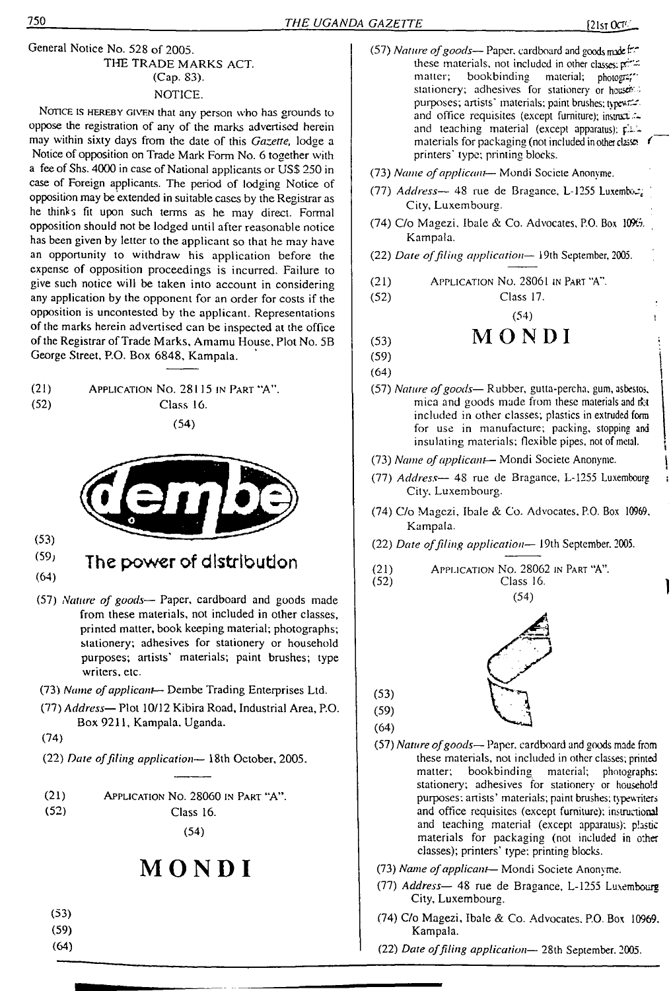#### General Notice No. 528 of 2005. THE TRADE MARKS ACT. (Cap. 83). NOTICE.

NOTICE IS HEREBY GIVEN that any person who has grounds to oppose the registration of any of the marks advertised herein may within sixty days from the date of this *Gazette,* lodge a Notice of opposition on Trade Mark Form No. 6 together with a fee of Shs. 4000 in case of National applicants or USS 250 in case of Foreign applicants. The period of lodging Notice of opposition may be extended in suitable cases by the Registrar as he thinks fit upon such terms as he may direct. Formal opposition should not be lodged until after reasonable notice has been given by letter to the applicant so that he may have an opportunity to withdraw his application before the expense of opposition proceedings is incurred. Failure to give such notice will be taken into account in considering any application by the opponent for an order for costs if the opposition is uncontested by the applicant. Representations of the marks herein advertised can be inspected at the office of the Registrar of Trade Marks, Amamu House, Plot No. 5B George Street, P.O. Box 6848, Kampala.

- (21) Application No. 28115 in Part "A".
- 
- (52) Class 16.

(54)



(53)

- (59) The power of distribution
- (64)
- (57) *Nature of goods—* Paper, cardboard and goods made from these materials, not included in other classes, printed matter, book keeping material; photographs; stationery; adhesives for stationery or household purposes; artists' materials; paint brushes; type writers, etc.
- (73) *Name ofapplicant* Dembe Trading Enterprises Ltd.
- (77) *Address—* Plot 10/12 Kibira Road, Industrial Area, P.O. Box 9211, Kampala, Uganda.
- (74)
- (22) *Date offiling application—* 18th October, 2005.
- (21) Application No. 28060 in Part "A".

(52) Class 16.

(54)

## **MONDI**

- (53)
- (59)
- (64)
- (57) *Nature of goods* Paper, cardboard and goods made free these materials, not included in other classes: printing materials in hotogrambookbinding material; photogram stationery; adhesives for stationery or house. purposes; artists' materials; paint brushes; typewr: and office requisites (except furniture); instructand teaching material (except apparatus):  $\vec{p}$ . materials for packaging (not included in other classes printers' type; printing blocks.
- (73) *Name ofapplicant—* Mondi Socicte Anonyme.
- (77) *Address* 48 rue de Bragance, L-1255 Luxembod; City, Luxembourg.
- (74) C/o Magezi, Ibale & Co. Advocates, P.O. Box  $1096$ . Kampala.
- (22) *Date offiling application—* 19th September, 2005.
- (21) Application No. 28061 in Part "A".
- (52) Class 17.

 $(54)$ 

## $(53)$  **MONDI**

- $(59)$
- $(64)$
- (57) *Nature ofgoods—* Rubber, gutta-percha, gum, asbestos, mica and goods made from these materials and rkt included in other classes; plastics in extruded form for use in manufacture; packing, stopping and insulating materials; flexible pipes, not of metal.
- (73) *Name ofapplicant—* Mondi Societe Anonyme. |
- (77) *Address—* 48 rue de Bragance, L-1255 Luxembourg : City. Luxembourg.
- (74) C/o Magezi, Ibale & Co. Advocates, P.O. Box 10969, Kampala.
- (22) *Date offiling application—* 19th September. 2005.
- (21) Application No. 28062 in Part "A".

Class 16. (54)



- (57) *Nature ofgoods—* Paper, cardboard and goods made from these materials, not included in other classes; printed matter; bookbinding material; photographs: stationery'; adhesives for stationery or household purposes: artists' materials; paint brushes; typewriters and office requisites (except furniture): instructional and teaching material (except apparatus); plastic materials for packaging (not included in other classes); printers' type; printing blocks.
- (73) *Name ofapplicant—* Mondi Societe Anonyme.
- (77) *Address—* 48 rue de Bragance, L-1255 Luxembourg City, Luxembourg.
- (74) C/o Magezi, Ibale & Co. Advocates. P.O. Box 10969. Kampala.
- (22) *Date offiling application—* 28th September. 2005.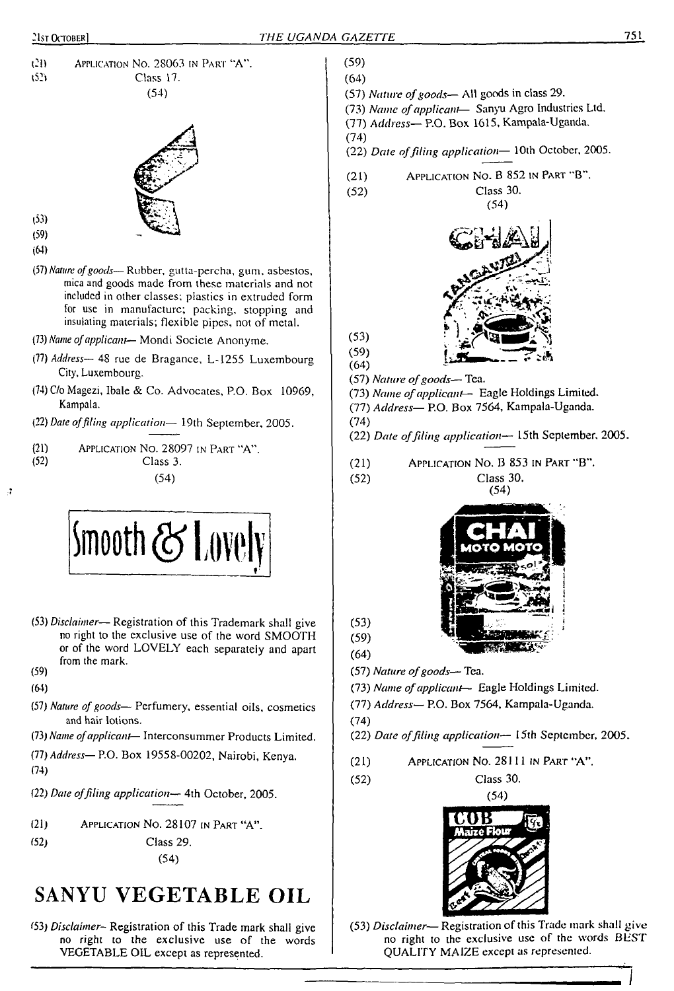



- (53) (59)
- 
- (64)
- (57) *Nature ofgoods—*Rubber, gutta-percha, gum. asbestos, mica and goods made from these materials and not included in other classes; plastics in extruded form for use in manufacture; packing, stopping and insulating materials; flexible pipes, not of metal.
- (73) *Name ofapplicant* Mondi Societe Anonyme.
- (77) *Address—* 48 rue de Bragance, L-I255 Luxembourg City, Luxembourg.
- (74) C/o Magezi, Ibale & Co. Advocates, P.O. Box 10969, Kampala.
- (22) *Date offiling application—* 19th September, 2005.
- (21) APPLICATION NO. 28097 IN PART "A".<br>(52) Class 3. Class 3.

(54)



- (53) *Disclaimer* Registration of this Trademark shall give no right to the exclusive use of the word SMOOTH or of the word LOVELY each separately and apart from the mark. (59)
- (64)

- 1

- (57) *Nature of goods—* Perfumery, essential oils, cosmetics and hair lotions.
- (73) *Name ofapplicant—* Interconsummer Products Limited.
- (77) *Address—*P.O. Box 19558-00202, Nairobi, Kenya.
- (74)
- (22) *Date offiling application—* 4th October, 2005.
- (21) Application No. 28107 in Part "A".
- (52) Class 29.

(54)

## **SANYU VEGETABLE OIL**

(53) *Disclaimer-* Registration of this Trade mark shall give no right to the exclusive use of the words VEGETABLE OIL except as represented.

- (59) (64)
- (57) *Nature ofgoods—* All goods in class 29.
- (73) *Name ofapplicant* Sanyu Agro Industries Ltd.
- (77) *Address—* P.O. Box 1615, Kampala-Uganda.
- (74)
- (22) *Date offiling application—* 10th October, 2005.
- (21) Application No. B 852 in Part "B".
- (52) Class 30.



- $(59)$ <br> $(64)$ (57) *Nature ofgoods—* Tea.
- (73) *Name ofapplicant—* Eagle Holdings Limited.
- (77) *Address—* P.O. Box 7564, Kampala-Uganda.
- (74)

(52)

(53)

- (22) *Date offiling application—* 15th September. 2005.
- (21) Application No. B 853 in Part ''B".

Class 30.



(59) (64)

(53)

(57) *Nature ofgoods—* Tea.

- (73) *Name ofapplicant—* Eagle Holdings Limited.
- (77) *Address—* P.O. Box 7564, Kampala-Uganda.
- (74)
- (22) *Date offiling application—* 15th September, 2005.
- (21) Application No. 28111 in Part "A".

(52) Class 30.



(53) *Disclaimer*— Registration of this Trade mark shall give no right to the exclusive use of the words BEST QUALITY MAIZE except as represented.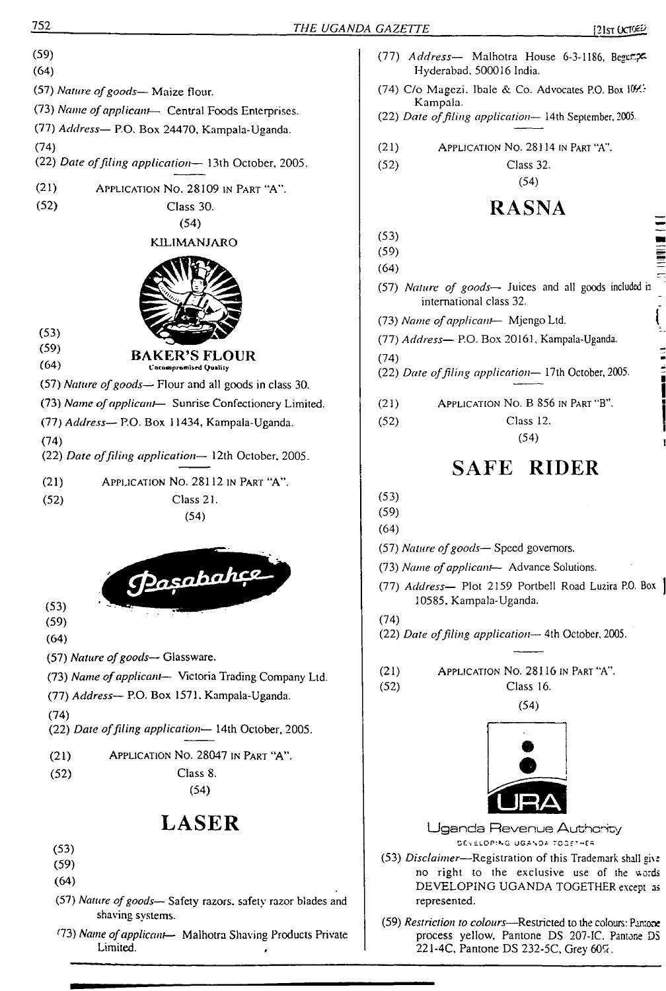

r73) *Name ofapplicant—* Malhotra Shaving Products Private Limited.

- (77) *Address* Malhotra House 6-3-1186, Begungx Hyderabad. 500016 India.
- (74) C/o Magezi, Ibale & Co. Advocates P.O. Box  $10\frac{M}{c}$ Kampala.
- (22) *Date offiling application—* 14th September, 2005-
- (21) Application No. 28114 in Part "A".

(52) Class 32.

(54)

## **RASNA**

- $(53)$
- $(59)$ (64)
- (57) *Nature of goods—* Juices and all goods included <sup>h</sup> international class 32.
- (73) *Name ofapplicant* Mjengo Ltd. <sup>1</sup>

(77) *Address—* P.O. Box 20161, Kampala-Uganda.

(74)

(22) *Date offiling application—* 17th October, 2005.

- (21) Application No. B 856 in Part"B".
- (52) Class 12.

(54)

## **SAFE RIDER**

(53)

(59)

(64)

- (57) *Nature ofgoods—* Speed governors.
- (73) *Name ofapplicant—* Advance Solutions.
- (77) *Address—* Plot 2159 Portbell Road Luzira P.O. Box 10585. Kampala-Uganda.
- (74)

(52)

(22) *Date offiling application—* 4th October, 2005.

(21) Application No. 28116 in Part "A".

> Class 16. (54)



Uganda Revenue Authcnty DEVELOPING UGANDA TOGETHER

- (53) *Disclaimer*—Registration of this Trademark shall give no right to the exclusive use of the uords DEVELOPING UGANDA TOGETHER except as represented.
- (59) *Restriction to colours—*Restricted to the colours: Pantone process yellow, Pantone DS 207-IC. Pantone DS 221-4C, Pantone DS 232-5C, Grey 60%.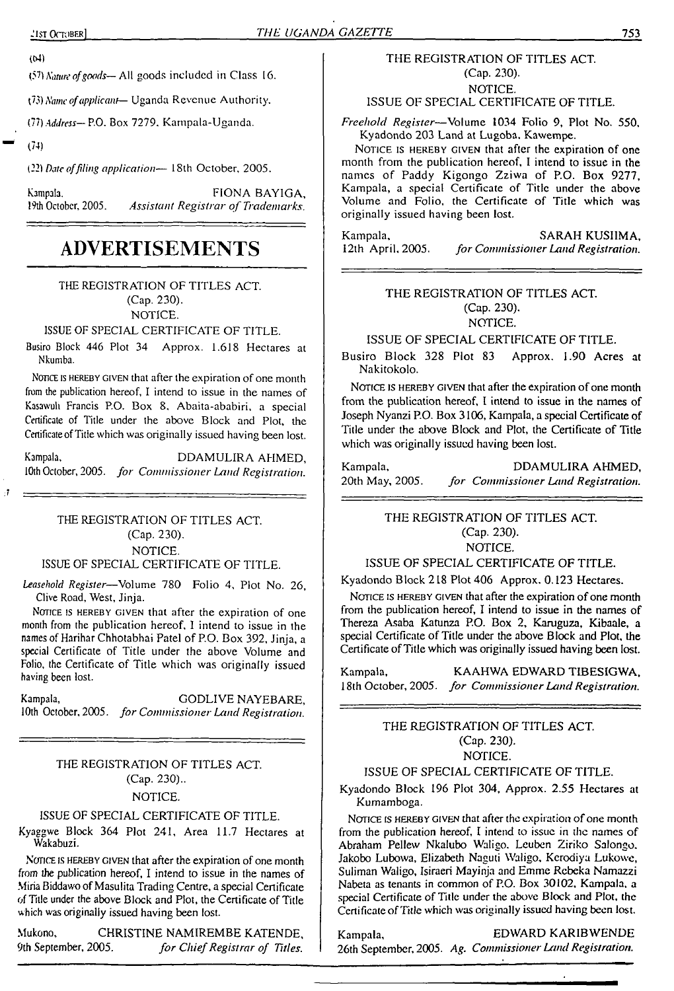$(44)$ 

*Nature ofgoods—*- All goods included in Class 16

(73) *Name ofapplicant*— Uganda Revenue Authority.

(77) *Address—* P.O. Box 7279. Kampala-Uganda.

(74)

(22) *Date offiling application—* 18th October, 2005.

Kampala. FIONA BAYIGA, FIONA BAYIGA, Published as a set of Trademarks. 19th October, 2005. *Assistant Registrar of Trademarks.*

## **ADVERTISEMENTS**

THE REGISTRATION OF TITLES ACT.

(Cap. 230).

NOTICE.

ISSUE OF SPECIAL CERTIFICATE OF TITLE.

Busiro Block 446 Plot 34 Approx. 1.618 Hectares at Nkumba.

Nonce is hereby given that after the expiration of one month from the publication hereof, I intend to issue in the names of Kasawuh Francis P.O. Box 8, Abaita-ababiri, a special Certificate of Title under the above Block and Plot, the Certificate of Title which was originally issued having been lost.

Kampala, DDAMULIRA AHMED, 10th October, 2005. *for Commissioner Land Registration.*

#### THE REGISTRATION OF TITLES ACT. (Cap. 230). NOTICE.

ISSUE OF SPECIAL CERTIFICATE OF TITLE.

*Leasehold Register*—Volume 780 Folio 4, Plot No. 26, Clive Road, West, Jinja.

NOTICE IS HEREBY GIVEN that after the expiration of one month from the publication hereof, <sup>1</sup> intend to issue in the names of Harihar Chhotabhai Patel of P.O, Box 392, Jinja, a special Certificate of Title under the above Volume and Folio, the Certificate of Title which was originally issued having been lost.

Kampala, GODLIVE NAYEBARE, 10th October, 2005. *for Commissioner Land Registration.*

#### THE REGISTRATION OF TITLES ACT. (Cap. 230).. NOTICE.

#### ISSUE OF SPECIAL CERTIFICATE OF TITLE.

Kyaggwe Block 364 Plot 241, Area 11.7 Hectares at Wakabuzi.

NOTICE IS HEREBY GIVEN that after the expiration of one month from the publication hereof, I intend to issue in the names of Miria Biddawo of Masulita Trading Centre, a special Certificate of Title under the above Block and Plot, the Certificate of Title which was originally issued having been lost.

Mukono, CHRISTINE NAMIREMBE KATENDE, 9th September, 2005. *for ChiefRegistrar of Titles.*

#### THE REGISTRATION OF TITLES ACT. (Cap. 230). NOTICE.

ISSUE OF SPECIAL CERTIFICATE OF TITLE.

*Freehold Register—*Volume 1034 Folio 9, Plot No. 550, Kyadondo 203 Land at Lugoba. Kawempe.

NOTICE IS HEREBY GIVEN that after the expiration of one month from the publication hereof, I intend to issue in the names of Paddy Kigongo Zziwa of P.O. Box 9277, Kampala, a special Certificate of Title under the above Volume and Folio, the Certificate of Title which was originally issued having been lost.

Kampala, SARAH KUSIIMA, I2th April, 2005. for Commissioner Land Registration. 12th April, 2005. *for Commissioner Land Registration.*

#### THE REGISTRATION OF TITLES ACT. (Cap. 230). NOTICE.

ISSUE OF SPECIAL CERTIFICATE OF TITLE.

Busiro Block 328 Plot 83 Approx. 1.90 Acres at Nakitokolo.

NOTICE IS HEREBY GIVEN that after the expiration of one month from the publication hereof, I intend to issue in the names of Joseph Nyanzi P.O. Box 3106, Kampala, a special Certificate of Title under the above Block and Plot, the Certificate of Title which was originally issued having been lost.

| Kampala,        | DDAMULIRA AHMED.                    |
|-----------------|-------------------------------------|
| 20th May, 2005. | for Commissioner Land Registration. |

THE REGISTRATION OF TITLES ACT. (Cap. 230).

NOTICE.

ISSUE OF SPECIAL CERTIFICATE OF TITLE.

Kyadondo Block 218 Plot 406 Approx. 0.123 Hectares.

NOTICE IS HEREBY GIVEN that after the expiration of one month from the publication hereof, I intend to issue in the names of Thereza Asaba Katunza P.O. Box 2, Karuguza, Kibaale, a special Certificate of Title under the above Block and Plot, the Certificate of Title which was originally issued having been lost.

Kampala, KAAHWA EDWARD TIBESIGWA, <sup>1</sup>8th October, 2005. *for Commissioner Land Registration.*

#### THE REGISTRATION OF TITLES ACT. (Cap. 230). NOTICE.

#### ISSUE OF SPECIAL CERTIFICATE OF TITLE.

Kyadondo Block 196 Plot 304, Approx. 2.55 Hectares at Kumamboga.

NOTICE IS HEREBY GIVEN that after the expiration of one month from the publication hereof, I intend to issue in the names of Abraham Pellew Nkalubo Waligo. Lcuben Ziriko Salongo, Jakobo Lubowa, Elizabeth Naguti Waligo, Kcrodiya Lukowe, Suliman Waligo, Isiraeri Mayinja and Emme Rcbeka Namazzi Nabeta as tenants in common of P.O. Box 30102, Kampala, a special Certificate of Title under the above Block and Plot, the Certificate of Title which was originally issued having been lost.

#### Kampala, EDWARD KARIBWENDE

26th September, 2005. *Ag. Commissioner Land Registration.*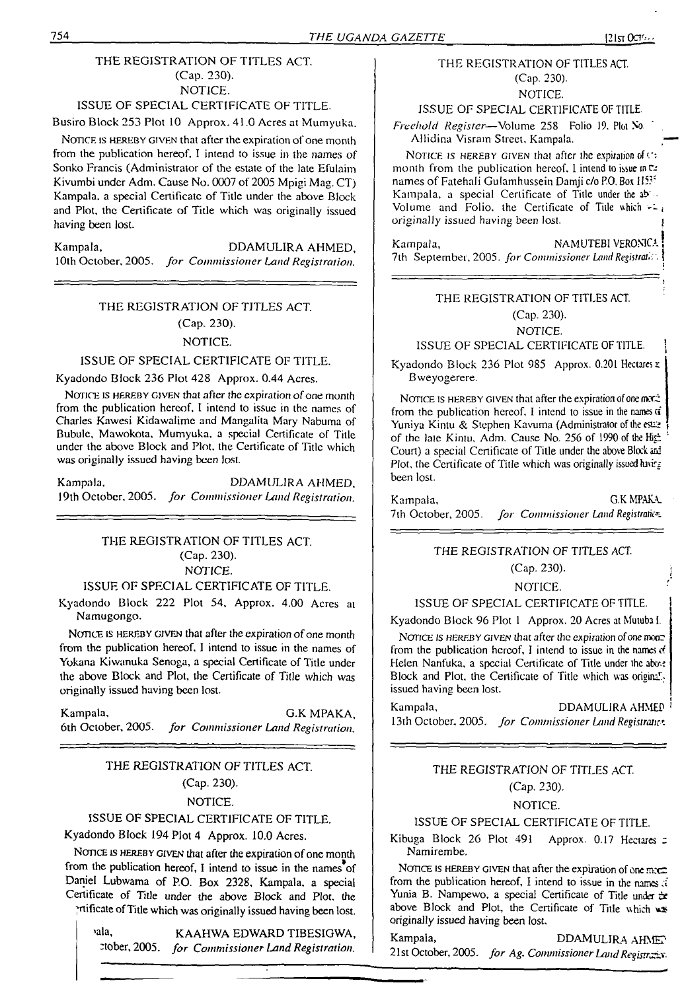#### THE REGISTRATION OF TITLES ACT. (Cap. 230). NOTICE.

### ISSUE OF SPECIAL CERTIFICATE OF TITLE.

Busiro Block 253 Plot 10 Approx. 41.0 Acres at Mumyuka.

NOTICE IS HEREBY GIVEN that after the expiration of one month from the publication hereof. I intend to issue in the names of Sonko Francis (Administrator of the estate of the late Efulaim Kivumbi under Adm. Cause No. 0007 of 2005 Mpigi Mag. CT) Kampala, a special Certificate of Title under the above Block and Plot, the Certificate of Title which was originally issued having been lost.

Kampala, DDAMULIRA AHMED, 10th October. 2005. *for Commissioner Land Registration,*

#### THE REGISTRATION OF TITLES ACT. (Cap. 230). NOTICE.

#### ISSUE OF SPECIAL CERTIFICATE OF TITLE.

Kyadondo Block 236 Plot 428 Approx. 0.44 Acres.

NOTICE IS HEREBY GIVEN that after the expiration of one month from the publication hereof. I intend to issue in the names of Charles Kawesi Kidawalime and Mangalita Mary Nabuma of Bubulc, Mawokota. Mumyuka, a special Certificate of Title under the above Block and Plot, the Certificate of Title which was originally issued having been lost.

| Kampala, | DDAMULIRA AHMED.                                        |
|----------|---------------------------------------------------------|
|          | 19th October, 2005. for Commissioner Land Registration. |

#### THE REGISTRATION OF TITLES ACT. (Cap. 230). NOTICE.

#### ISSUE OF SPECIAL CERTIFICATE OF TITLE.

Kyadondo Block 222 Plot 54, Approx. 4.00 Acres at Namugongo.

NOTICE IS HEREBY GIVEN that after the expiration of one month from the publication hereof. I intend to issue in the names of Yokana Kiwanuka Senoga, a special Certificate of Title under the above Block and Plot, the Certificate of Title which was originally issued having been lost.

Kampala, G.K MPAKA, 6th October, 2005. *for Commissioner Land Registration.*

#### THE REGISTRATION OF TITLES ACT. (Cap. 230).

#### NOTICE.

ISSUE OF SPECIAL CERTIFICATE OF TITLE.

Kyadondo Block 194 Plot 4 Approx. 10.0 Acres.

NOTICE IS HEREBY GIVEN that after the expiration of one month from the publication hereof, I intend to issue in the names of Daniel Lubwama of P.O. Box 2328, Kampala, a special Certificate of Title under the above Block and Plot, the ;mficate ofTitle which was originally issued having been lost.

'ala, KAAHWA EDWARD TIBESIGWA, Stober, 2005. *for Commissioner Land Registration.*

#### THE REGISTRATION OF TITLES ACT. (Cap. 230).

NOTICE.

ISSUE OF SPECIAL CERTIFICATE OF TITLE.

*Freehold Register*—Volume 258 Folio 19. Plot No Allidina Visrain Street. Kampala.

NOTICE IS HEREBY GIVEN that after the expiration of  $C_7$ month from the publication hereof. I intend to issue in  $\mathbb{R}^2$ names of Fatehali Gulamhussein Damji c/o P.O. Box H53\* Kampala, a special Certificate of Title under the ab' - Volume and Folio, the Certificate of Title which  $\pm i$ originally issued having been lost. \$

Kampala, NAMUTEBI VERONICA 7th September, 2005. *for Commissioner Land Registran t.*<sup>1</sup>

#### THE REGISTRATION OF TITLES ACT.

#### (Cap. 230).

#### NOTICE.

#### ISSUE OF SPECIAL CERTIFICATE OF TITLE.

Kyadondo Block 236 Plot 985 Approx. 0.201 Hectares x Bweyogerere.

NOTICE IS HEREBY GIVEN that after the expiration of one model from the publication hereof. I intend to issue in the names  $\vec{a}$ Yuniya Kintu & Stephen Kavuma (Administrator of the estaof the late Kintu, Adm. Cause No. 256 of 1990 of the High Court) a special Certificate of Title under the above Block ani Plot, the Certificate of Title which was originally issued havirg been lost.

Kampala, G.K MPAKA. 7th October, 2005. for *Commissioner Land Registration*.

#### *THE* REGISTRATION OF TITLES ACT.

 $(Cap. 230)$ .

#### NOTICE.

#### ISSUE OF SPECIAL CERTIFICATE OF TITLE.

Kyadondo Block 96 Plot <sup>1</sup> Approx. 20 Acres at Mutuba I.

NOTICE IS HEREBY GIVEN that after the expiration of one monfrom the publication hereof, I intend to issue in the names *d* Helen Nanfuka, a special Certificate of Title under the above Block and Plot, the Certificate of Title which was original. issued having been lost.

Kampala, DDAMULIRA AHMED 13th October. 2005. for Commissioner Land Registrates

#### THE REGISTRATION OF TITLES ACT.

#### (Cap. 230).

#### NOTICE.

#### ISSUE OF SPECIAL CERTIFICATE OF TITLE.

Kibuga Block 26 Plot 491 Approx. 0.17 Hectares  $\boldsymbol{z}$ Namirembe.

NOTICE IS HEREBY GIVEN that after the expiration of one more from the publication hereof, I intend to issue in the names  $\vec{x}$ Yunia B. Nampewo, a special Certificate of Title under ix above Block and Plot, the Certificate of Title which ws originally issued having been lost.

Kampala, DDAMULIRA AHMET <sup>21</sup> st October, 2005. *for Ag. CommissionerLandRegistrars-*